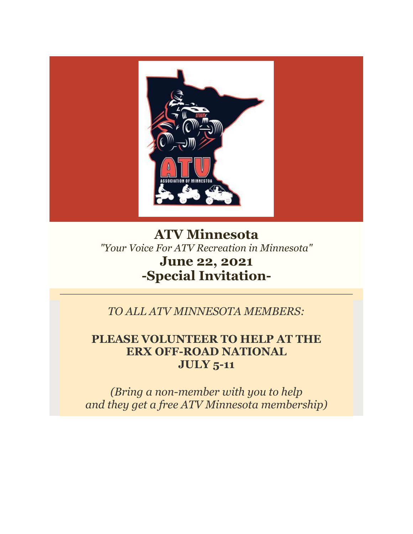

# **ATV Minnesota** *"Your Voice For ATV Recreation in Minnesota"* **June 22, 2021 -Special Invitation-**

*TO ALL ATV MINNESOTA MEMBERS:*

## **PLEASE VOLUNTEER TO HELP AT THE ERX OFF-ROAD NATIONAL JULY 5-11**

*(Bring a non-member with you to help and they get a free ATV Minnesota membership)*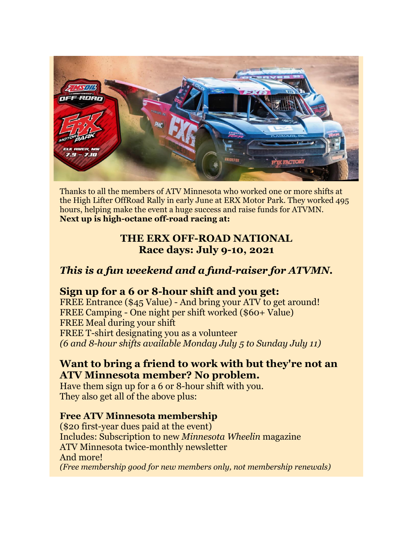

Thanks to all the members of ATV Minnesota who worked one or more shifts at the High Lifter OffRoad Rally in early June at ERX Motor Park. They worked 495 hours, helping make the event a huge success and raise funds for ATVMN. **Next up is high-octane off-road racing at:** 

### **THE ERX OFF-ROAD NATIONAL Race days: July 9-10, 2021**

## *This is a fun weekend and a fund-raiser for ATVMN.*

### **Sign up for a 6 or 8-hour shift and you get:**

FREE Entrance (\$45 Value) - And bring your ATV to get around! FREE Camping - One night per shift worked (\$60+ Value) FREE Meal during your shift FREE T-shirt designating you as a volunteer *(6 and 8-hour shifts available Monday July 5 to Sunday July 11)*

### **Want to bring a friend to work with but they're not an ATV Minnesota member? No problem.**

Have them sign up for a 6 or 8-hour shift with you. They also get all of the above plus:

### **Free ATV Minnesota membership**

(\$20 first-year dues paid at the event) Includes: Subscription to new *Minnesota Wheelin* magazine ATV Minnesota twice-monthly newsletter And more! *(Free membership good for new members only, not membership renewals)*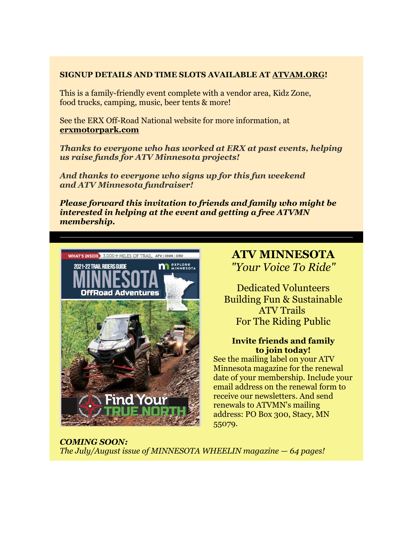#### **SIGNUP DETAILS AND TIME SLOTS AVAILABLE AT [ATVAM.ORG!](https://r20.rs6.net/tn.jsp?f=001qGIAik1_qsxBI5Yfuomkwri-lE6AAUwCQrYY_ZCbkpcUdWsByq6l8dQqJvXhKKG7LkdIzAWC-iqXdL1klFXz2L5t5pcYXjB3v3r86Q6ox-WHjPjH9I1PQtlVB6_6ljPCZWAG3PL5aeWkq46HZy_3elwaYoEGhpl5MLuKZrDNEwfPDNuyqr4a5WAE_SywuC__fePaQPojwkeAKqk8bdJXT23FAmpuC8mJQPdv92nM9gVxvoLV_GkA_zCtLI2O9Fu8EOlfEhnSWUgXwuC8ji5cJuOKjJP1hG6CJG6yNczlIxsvd5ZYdODXhGIlsxgjuOFRFS3aY2yZfIj4h-KCcP5euNJ-5Q5DCEhJwZlStENy62mUtj3OugtNnMnqNLRa8a2vQvBia--p7G3U4PhW9tG0qqJuAouqhQHjIUD3hF04kFpOo0LlRGAf--twnR6kOW_Uw-O0Gxg-s2lCBkfVHXwtFKPRV2dMk1is5CgK_bBLjSBtou_1_kg5ldkjj8kgSHiMrtAqFs81CkClF0zPFm6JD3vHpZBI9NNviEj2nOfBgKIjDg5T8Fw7gtFaf6xR7C87raibDuHDHqISI9MOIlcmATWHeyT47KvaqMOrQ6fVbhSrerQCWFGTssdGhP4w7EUflxLnApPAuPrVpfRViG78cC_ykT7reVSoeAm85cvoRshxyng51kLAhhqAP1ABNrgG_iiTlou52EErTxMRd2B5YW8YK3Aq1KiniLrFmrlilxqGsstITtHhpqMNto_qmArYZoCjhN0IpJA=&c=3qUT8qFs4a8Uz9tT9mYD2oediT--Lcd7ADtNRfImLTj0XyawhdJKEQ==&ch=bI4xSPp3KynxufwfpIN8H2iisjaFRJXLUjMHY6cidMbCAzSFEarqmQ==)**

This is a family-friendly event complete with a vendor area, Kidz Zone, food trucks, camping, music, beer tents & more!

See the ERX Off-Road National website for more information, at **[erxmotorpark.com](https://r20.rs6.net/tn.jsp?f=001qGIAik1_qsxBI5Yfuomkwri-lE6AAUwCQrYY_ZCbkpcUdWsByq6l8dQqJvXhKKG7J5_OXv7MYMq-5R7pWa-lhoZoA-LGyAADZXmjTlX3BxYt39MBQbGEPknJfUKWZsr4-WyvSJ0Wq5hJLqbPNCNdRdw7jW5Jc6OMoTcSk6eM01jma1j9L78LTtr-bIPtaU6axGFwx7DzcCvFUe5ehHWt9-FvStObOCme13AtO757GdyQbuGsDdoY5hidmDj9ZVHbhBhzUj9LP9TbLPI8HjgvvuOA9ADT3iYIqMhLjynf0y75H56wYfrnQ_jF5iHhacIf76SvIqZI111OhjqnaPpdeL4uL76wHPeHaegfNQ071DVylaVhYIBwlETL-AJvu99y3zLnMK8XiD3m11CAvDWYLygwqqZb0AwANNAuUlqUeCI8Ah5jBP12DT3etEQEiA8DuyDblrlBxv1ITrlgBXDsxotuMs7bt780eh1wfmaEUvHCtj02QSosSg64pgabAg7DubVjdVUBZDk-XTpOBYROSxGSMlwra4s6LgPQuVgF0vV5GNx28Qs1IBeEVK3xYCr44_hbgHXEMPLuzNdRXMV5rqb-6JzCjRI-fsvzx2EWKj_9ufX7sRXWzFQ5RrJOjJ_lXTp1XoJD03SGj4rOUbm-1wyjcsMHvuvQOvSTeN8Z2MNa0PAmy7vhcFJHNVd6zB2DZvJOTmYcWMziVrNf5OGtTFNMDT0Taf5G3ASQo577cXoJsGN6iKwwDiSBUzE9gBh5Ht0Wtrr3qwsrLUW7rx7j2A==&c=3qUT8qFs4a8Uz9tT9mYD2oediT--Lcd7ADtNRfImLTj0XyawhdJKEQ==&ch=bI4xSPp3KynxufwfpIN8H2iisjaFRJXLUjMHY6cidMbCAzSFEarqmQ==)**

*Thanks to everyone who has worked at ERX at past events, helping us raise funds for ATV Minnesota projects!*

*And thanks to everyone who signs up for this fun weekend and ATV Minnesota fundraiser!*

*Please forward this invitation to friends and family who might be interested in helping at the event and getting a free ATVMN membership.*



### **ATV MINNESOTA** *"Your Voice To Ride"*

Dedicated Volunteers Building Fun & Sustainable ATV Trails For The Riding Public

#### **Invite friends and family to join today!**

See the mailing label on your ATV Minnesota magazine for the renewal date of your membership. Include your email address on the renewal form to receive our newsletters. And send renewals to ATVMN's mailing address: PO Box 300, Stacy, MN 55079.

*COMING SOON: The July/August issue of MINNESOTA WHEELIN magazine — 64 pages!*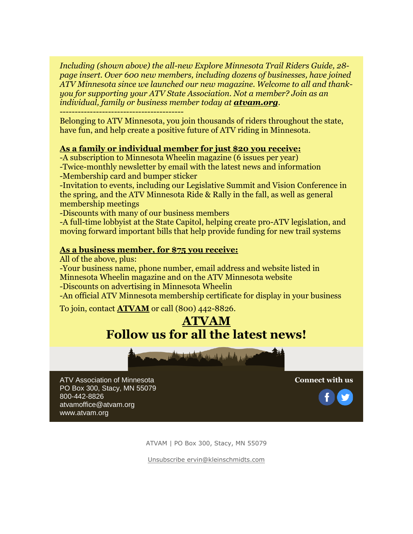*Including (shown above) the all-new Explore Minnesota Trail Riders Guide, 28 page insert. Over 600 new members, including dozens of businesses, have joined ATV Minnesota since we launched our new magazine. Welcome to all and thankyou for supporting your ATV State Association. Not a member? Join as an individual, family or business member today at [atvam.org](https://r20.rs6.net/tn.jsp?f=001qGIAik1_qsxBI5Yfuomkwri-lE6AAUwCQrYY_ZCbkpcUdWsByq6l8bQuIDn06duGtFoQ0zNYYbQocgKUOfvoKsWpxX7BuuBGPcOyH04edth8zb4-cn9jKypiu15pquG65WH6f4ESbYo=&c=3qUT8qFs4a8Uz9tT9mYD2oediT--Lcd7ADtNRfImLTj0XyawhdJKEQ==&ch=bI4xSPp3KynxufwfpIN8H2iisjaFRJXLUjMHY6cidMbCAzSFEarqmQ==).*

-----------------------------------------

Belonging to ATV Minnesota, you join thousands of riders throughout the state, have fun, and help create a positive future of ATV riding in Minnesota.

#### **[As a family or individual member for just \\$20](imap://ervin%40kleinschmidts%2Ecom@mail.kleinschmidts.com:993/fetch%3EUID%3E.INBOX%3E160992) you receive:**

-A subscription to Minnesota Wheelin magazine (6 issues per year)

-Twice-monthly newsletter by email with the latest news and information -Membership card and bumper sticker

-Invitation to events, including our Legislative Summit and Vision Conference in the spring, and the ATV Minnesota Ride & Rally in the fall, as well as general membership meetings

-Discounts with many of our business members

-A full-time lobbyist at the State Capitol, helping create pro-ATV legislation, and moving forward important bills that help provide funding for new trail systems

#### **[As a business member, for \\$75 you receive:](imap://ervin%40kleinschmidts%2Ecom@mail.kleinschmidts.com:993/fetch%3EUID%3E.INBOX%3E160992)**

All of the above, plus:

-Your business name, phone number, email address and website listed in Minnesota Wheelin magazine and on the ATV Minnesota website

-Discounts on advertising in Minnesota Wheelin

-An official ATV Minnesota membership certificate for display in your business

To join, contact **[ATVAM](https://r20.rs6.net/tn.jsp?f=001qGIAik1_qsxBI5Yfuomkwri-lE6AAUwCQrYY_ZCbkpcUdWsByq6l8WXG7Nn1ZkS4iqXRe2BB3JFapwUFXl4oFkJ0QPIizUVbu3r1gJE_8XJg9JQ4bgWumF_6LIL_-YnMzb1NqNd8zKg=&c=3qUT8qFs4a8Uz9tT9mYD2oediT--Lcd7ADtNRfImLTj0XyawhdJKEQ==&ch=bI4xSPp3KynxufwfpIN8H2iisjaFRJXLUjMHY6cidMbCAzSFEarqmQ==)** or call (800) 442-8826.

# **[ATVAM](https://r20.rs6.net/tn.jsp?f=001qGIAik1_qsxBI5Yfuomkwri-lE6AAUwCQrYY_ZCbkpcUdWsByq6l8WXG7Nn1ZkS4iqXRe2BB3JFapwUFXl4oFkJ0QPIizUVbu3r1gJE_8XJg9JQ4bgWumF_6LIL_-YnMzb1NqNd8zKg=&c=3qUT8qFs4a8Uz9tT9mYD2oediT--Lcd7ADtNRfImLTj0XyawhdJKEQ==&ch=bI4xSPp3KynxufwfpIN8H2iisjaFRJXLUjMHY6cidMbCAzSFEarqmQ==) Follow us for all the latest news!**



ATV Association of Minnesota PO Box 300, Stacy, MN 55079 800-442-8826 atvamoffice@atvam.org www.atvam.org

**Connect with us**



ATVAM | PO Box 300, Stacy, MN 55079

[Unsubscribe ervin@kleinschmidts.com](https://visitor.constantcontact.com/do?p=un&m=001qFmiWSczCnpnwCIAdDBeHw%3D&ch=d436c6a0-25d9-11e7-acca-d4ae52843dc7&ca=7a244a76-3d1e-45bf-a15c-ef3c59ced75a)